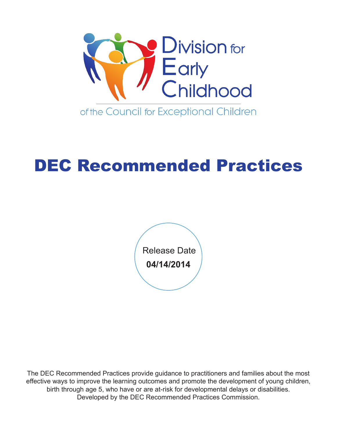

# DEC Recommended Practices

**04/14/2014** Release Date

The DEC Recommended Practices provide guidance to practitioners and families about the most effective ways to improve the learning outcomes and promote the development of young children, birth through age 5, who have or are at-risk for developmental delays or disabilities. Developed by the DEC Recommended Practices Commission.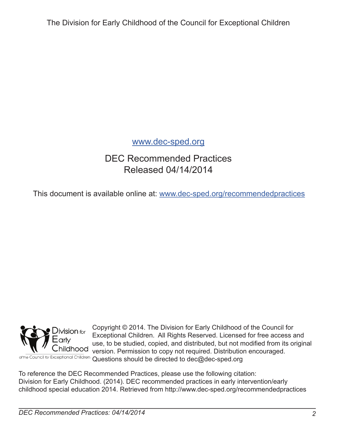The Division for Early Childhood of the Council for Exceptional Children

#### www.dec-sped.org

## DEC Recommended Practices Released 04/14/2014

This document is available online at: www.dec-sped.org/recommendedpractices



Copyright © 2014. The Division for Early Childhood of the Council for Exceptional Children. All Rights Reserved. Licensed for free access and use, to be studied, copied, and distributed, but not modifed from its original version. Permission to copy not required. Distribution encouraged. Questions should be directed to dec@dec-sped.org

To reference the DEC Recommended Practices, please use the following citation: Division for Early Childhood. (2014). DEC recommended practices in early intervention/early childhood special education 2014. Retrieved from http://www.dec-sped.org/recommendedpractices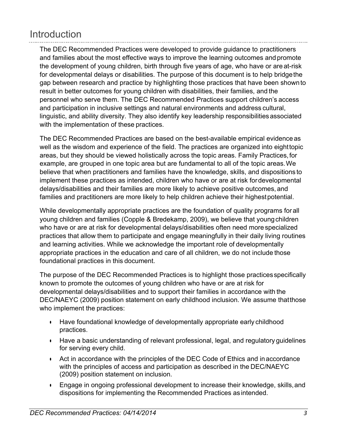# Introduction

The DEC Recommended Practices were developed to provide guidance to practitioners and families about the most effective ways to improve the learning outcomes andpromote the development of young children, birth through five years of age, who have or are at-risk for developmental delays or disabilities. The purpose of this document is to help bridgethe gap between research and practice by highlighting those practices that have been shownto result in better outcomes for young children with disabilities, their families, and the personnel who serve them. The DEC Recommended Practices support children's access and participation in inclusive settings and natural environments and address cultural, linguistic, and ability diversity. They also identify key leadership responsibilities associated with the implementation of these practices.

The DEC Recommended Practices are based on the best-available empirical evidenceas well as the wisdom and experience of the field. The practices are organized into eighttopic areas, but they should be viewed holistically across the topic areas. Family Practices,for example, are grouped in one topic area but are fundamental to all of the topic areas.We believe that when practitioners and families have the knowledge, skills, and dispositions to implement these practices as intended, children who have or are at risk fordevelopmental delays/disabilities and their families are more likely to achieve positive outcomes, and families and practitioners are more likely to help children achieve their highest potential.

While developmentally appropriate practices are the foundation of quality programs forall young children and families (Copple & Bredekamp, 2009), we believe that youngchildren who have or are at risk for developmental delays/disabilities often need more specialized practices that allow them to participate and engage meaningfully in their daily living routines and learning activities. While we acknowledge the important role of developmentally appropriate practices in the education and care of all children, we do not include those foundational practices in this document.

The purpose of the DEC Recommended Practices is to highlight those practicesspecifically known to promote the outcomes of young children who have or are at risk for developmental delays/disabilities and to support their families in accordance with the DEC/NAEYC (2009) position statement on early childhood inclusion. We assume thatthose who implement the practices:

- Have foundational knowledge of developmentally appropriate early childhood practices.
- **Have a basic understanding of relevant professional, legal, and regulatory guidelines** for serving every child.
- Act in accordance with the principles of the DEC Code of Ethics and inaccordance with the principles of access and participation as described in the DEC/NAEYC (2009) position statement on inclusion.
- Engage in ongoing professional development to increase their knowledge, skills, and dispositions for implementing the Recommended Practices as intended.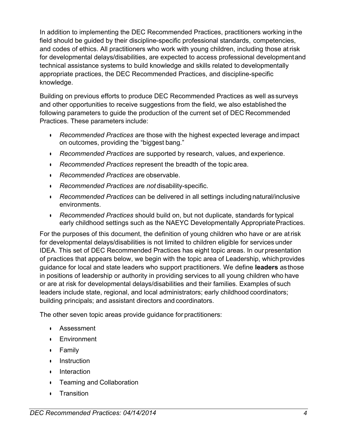In addition to implementing the DEC Recommended Practices, practitioners working inthe field should be guided by their discipline-specific professional standards, competencies, and codes of ethics. All practitioners who work with young children, including those atrisk for developmental delays/disabilities, are expected to access professional developmentand technical assistance systems to build knowledge and skills related to developmentally appropriate practices, the DEC Recommended Practices, and discipline-specific knowledge.

Building on previous efforts to produce DEC Recommended Practices as well as surveys and other opportunities to receive suggestions from the field, we also established the following parameters to guide the production of the current set of DEC Recommended Practices. These parameters include:

- *Recommended Practices* are those with the highest expected leverage and impact on outcomes, providing the "biggest bang."
- *Recommended Practices* are supported by research, values, and experience.
- **•** Recommended Practices represent the breadth of the topic area.
- **E** *Recommended Practices* are observable.
- *Recommended Practices* are *not* disability-specific.
- **•** Recommended Practices can be delivered in all settings including natural/inclusive environments.
- *Recommended Practices* should build on, but not duplicate, standards for typical early childhood settings such as the NAEYC Developmentally AppropriatePractices.

For the purposes of this document, the definition of young children who have or are atrisk for developmental delays/disabilities is not limited to children eligible for services under IDEA. This set of DEC Recommended Practices has eight topic areas. In ourpresentation of practices that appears below, we begin with the topic area of Leadership, whichprovides guidance for local and state leaders who support practitioners. We define **leaders** asthose in positions of leadership or authority in providing services to all young children who have or are at risk for developmental delays/disabilities and their families. Examples of such leaders include state, regional, and local administrators; early childhood coordinators; building principals; and assistant directors and coordinators.

The other seven topic areas provide guidance for practitioners:

- Assessment
- $\cdot$  Environment
- Family
- **Instruction**
- **Interaction**
- Teaming and Collaboration
- **CE** Transition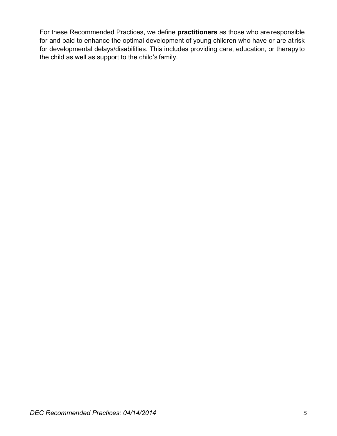For these Recommended Practices, we define **practitioners** as those who are responsible for and paid to enhance the optimal development of young children who have or are atrisk for developmental delays/disabilities. This includes providing care, education, or therapyto the child as well as support to the child's family.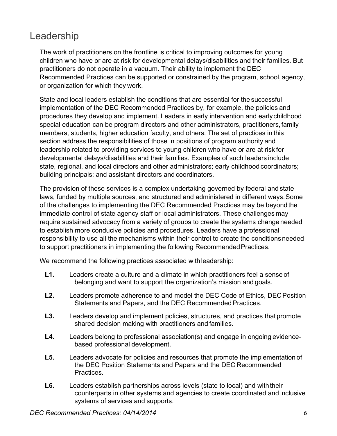# Leadership

The work of practitioners on the frontline is critical to improving outcomes for young children who have or are at risk for developmental delays/disabilities and their families. But practitioners do not operate in a vacuum. Their ability to implement the DEC Recommended Practices can be supported or constrained by the program, school,agency, or organization for which they work.

State and local leaders establish the conditions that are essential for the successful implementation of the DEC Recommended Practices by, for example, the policies and procedures they develop and implement. Leaders in early intervention and earlychildhood special education can be program directors and other administrators, practitioners,family members, students, higher education faculty, and others. The set of practices in this section address the responsibilities of those in positions of program authority and leadership related to providing services to young children who have or are at risk for developmental delays/disabilities and their families. Examples of such leaders include state, regional, and local directors and other administrators; early childhood coordinators; building principals; and assistant directors and coordinators.

The provision of these services is a complex undertaking governed by federal and state laws, funded by multiple sources, and structured and administered in different ways.Some of the challenges to implementing the DEC Recommended Practices may be beyondthe immediate control of state agency staff or local administrators. These challenges may require sustained advocacy from a variety of groups to create the systems change needed to establish more conducive policies and procedures. Leaders have a professional responsibility to use all the mechanisms within their control to create the conditionsneeded to support practitioners in implementing the following Recommended Practices.

We recommend the following practices associated with leadership:

- **L1.** Leaders create a culture and a climate in which practitioners feel a sense of belonging and want to support the organization's mission and goals.
- L2. Leaders promote adherence to and model the DEC Code of Ethics, DEC Position Statements and Papers, and the DEC Recommended Practices.
- **L3.** Leaders develop and implement policies, structures, and practices that promote shared decision making with practitioners and families.
- **L4.** Leaders belong to professional association(s) and engage in ongoing evidencebased professional development.
- **L5.** Leaders advocate for policies and resources that promote the implementation of the DEC Position Statements and Papers and the DEC Recommended Practices.
- L6. Leaders establish partnerships across levels (state to local) and with their counterparts in other systems and agencies to create coordinated and inclusive systems of services and supports.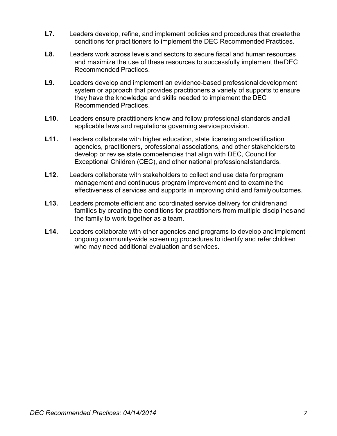- **L7.** Leaders develop, refine, and implement policies and procedures that create the conditions for practitioners to implement the DEC RecommendedPractices.
- **L8.** Leaders work across levels and sectors to secure fiscal and human resources and maximize the use of these resources to successfully implement theDEC Recommended Practices.
- **L9.** Leaders develop and implement an evidence-based professionaldevelopment system or approach that provides practitioners a variety of supports to ensure they have the knowledge and skills needed to implement the DEC Recommended Practices.
- **L10.** Leaders ensure practitioners know and follow professional standards and all applicable laws and regulations governing service provision.
- **L11.** Leaders collaborate with higher education, state licensing and certification agencies, practitioners, professional associations, and other stakeholders to develop or revise state competencies that align with DEC, Council for Exceptional Children (CEC), and other national professional standards.
- **L12.** Leaders collaborate with stakeholders to collect and use data for program management and continuous program improvement and to examine the effectiveness of services and supports in improving child and family outcomes.
- **L13.** Leaders promote efficient and coordinated service delivery for children and families by creating the conditions for practitioners from multiple disciplinesand the family to work together as a team.
- **L14.** Leaders collaborate with other agencies and programs to develop andimplement ongoing community-wide screening procedures to identify and refer children who may need additional evaluation and services.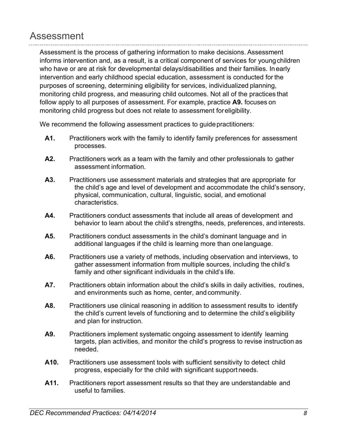## Assessment

Assessment is the process of gathering information to make decisions. Assessment informs intervention and, as a result, is a critical component of services for youngchildren who have or are at risk for developmental delays/disabilities and their families. Inearly intervention and early childhood special education, assessment is conducted for the purposes of screening, determining eligibility for services, individualized planning, monitoring child progress, and measuring child outcomes. Not all of the practices that follow apply to all purposes of assessment. For example, practice **A9.** focuses on monitoring child progress but does not relate to assessment foreligibility.

We recommend the following assessment practices to guide practitioners:

- **A1.** Practitioners work with the family to identify family preferences for assessment processes.
- **A2.** Practitioners work as a team with the family and other professionals to gather assessment information.
- **A3.** Practitioners use assessment materials and strategies that are appropriate for the child's age and level of development and accommodate the child's sensory, physical, communication, cultural, linguistic, social, and emotional characteristics.
- **A4.** Practitioners conduct assessments that include all areas of development and behavior to learn about the child's strengths, needs, preferences, and interests.
- **A5.** Practitioners conduct assessments in the child's dominant language and in additional languages if the child is learning more than onelanguage.
- **A6.** Practitioners use a variety of methods, including observation and interviews, to gather assessment information from multiple sources, including the child's family and other significant individuals in the child's life.
- A7. Practitioners obtain information about the child's skills in daily activities, routines, and environments such as home, center, and community.
- A8. Practitioners use clinical reasoning in addition to assessment results to identify the child's current levels of functioning and to determine the child's eligibility and plan for instruction.
- **A9.** Practitioners implement systematic ongoing assessment to identify learning targets, plan activities, and monitor the child's progress to revise instruction as needed.
- **A10.** Practitioners use assessment tools with sufficient sensitivity to detect child progress, especially for the child with significant support needs.
- **A11.** Practitioners report assessment results so that they are understandable and useful to families.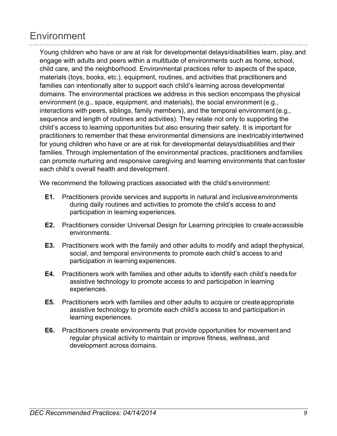# **Environment**

Young children who have or are at risk for developmental delays/disabilities learn, play,and engage with adults and peers within a multitude of environments such as home, school, child care, and the neighborhood. Environmental practices refer to aspects of the space, materials (toys, books, etc.), equipment, routines, and activities that practitioners and families can intentionally alter to support each child's learning across developmental domains. The environmental practices we address in this section encompass the physical environment (e.g., space, equipment, and materials), the social environment (e.g., interactions with peers, siblings, family members), and the temporal environment(e.g., sequence and length of routines and activities). They relate not only to supporting the child's access to learning opportunities but also ensuring their safety. It is important for practitioners to remember that these environmental dimensions are inextricably intertwined for young children who have or are at risk for developmental delays/disabilities and their families. Through implementation of the environmental practices, practitioners andfamilies can promote nurturing and responsive caregiving and learning environments that canfoster each child's overall health and development.

We recommend the following practices associated with the child's environment:

- **E1.** Practitioners provide services and supports in natural and inclusiveenvironments during daily routines and activities to promote the child's access to and participation in learning experiences.
- **E2.** Practitioners consider Universal Design for Learning principles to create accessible environments.
- **E3.** Practitioners work with the family and other adults to modify and adapt thephysical, social, and temporal environments to promote each child's access to and participation in learning experiences.
- **E4.** Practitioners work with families and other adults to identify each child's needs for assistive technology to promote access to and participation in learning experiences.
- **E5.** Practitioners work with families and other adults to acquire or createappropriate assistive technology to promote each child's access to and participation in learning experiences.
- **E6.** Practitioners create environments that provide opportunities for movement and regular physical activity to maintain or improve fitness, wellness, and development across domains.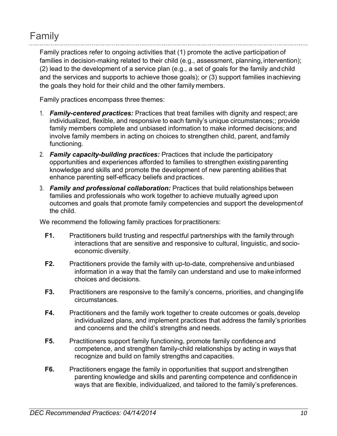# Family

Family practices refer to ongoing activities that (1) promote the active participation of families in decision-making related to their child (e.g., assessment, planning, intervention); (2) lead to the development of a service plan (e.g., a set of goals for the family andchild and the services and supports to achieve those goals); or (3) support families inachieving the goals they hold for their child and the other family members.

Family practices encompass three themes:

- 1. *Family-centered practices:* Practices that treat families with dignity and respect; are individualized, flexible, and responsive to each family's unique circumstances;; provide family members complete and unbiased information to make informed decisions;and involve family members in acting on choices to strengthen child, parent, and family functioning.
- 2. *Family capacity-building practices:* Practices that include the participatory opportunities and experiences afforded to families to strengthen existingparenting knowledge and skills and promote the development of new parenting abilities that enhance parenting self-efficacy beliefs and practices.
- 3. *Family and professional collaboration:* Practices that build relationships between families and professionals who work together to achieve mutually agreed upon outcomes and goals that promote family competencies and support the developmentof the child.

We recommend the following family practices for practitioners:

- **F1.** Practitioners build trusting and respectful partnerships with the family through interactions that are sensitive and responsive to cultural, linguistic, and socioeconomic diversity.
- **F2.** Practitioners provide the family with up-to-date, comprehensive andunbiased information in a way that the family can understand and use to make informed choices and decisions.
- **F3.** Practitioners are responsive to the family's concerns, priorities, and changing life circumstances.
- **F4.** Practitioners and the family work together to create outcomes or goals, develop individualized plans, and implement practices that address the family's priorities and concerns and the child's strengths and needs.
- **F5.** Practitioners support family functioning, promote family confidence and competence, and strengthen family-child relationships by acting in ways that recognize and build on family strengths and capacities.
- **F6.** Practitioners engage the family in opportunities that support and strengthen parenting knowledge and skills and parenting competence and confidencein ways that are flexible, individualized, and tailored to the family's preferences.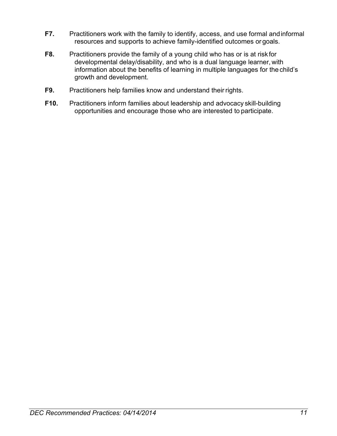- **F7.** Practitioners work with the family to identify, access, and use formal andinformal resources and supports to achieve family-identified outcomes or goals.
- **F8.** Practitioners provide the family of a young child who has or is at risk for developmental delay/disability, and who is a dual language learner, with information about the benefits of learning in multiple languages for the child's growth and development.
- **F9.** Practitioners help families know and understand their rights.
- **F10.** Practitioners inform families about leadership and advocacy skill-building opportunities and encourage those who are interested to participate.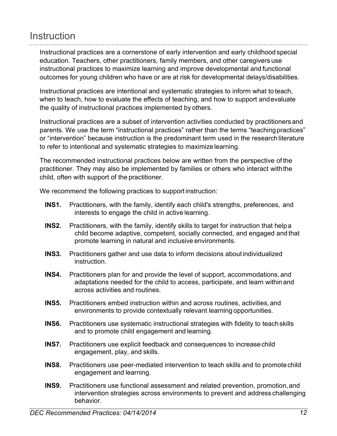# **Instruction**

Instructional practices are a cornerstone of early intervention and early childhood special education. Teachers, other practitioners, family members, and other caregivers use instructional practices to maximize learning and improve developmental and functional outcomes for young children who have or are at risk for developmental delays/disabilities.

Instructional practices are intentional and systematic strategies to inform what to teach, when to teach, how to evaluate the effects of teaching, and how to support andevaluate the quality of instructional practices implemented by others.

Instructional practices are a subset of intervention activities conducted by practitioners and parents. We use the term "instructional practices" rather than the terms "teaching practices" or "intervention" because instruction is the predominant term used in the research literature to refer to intentional and systematic strategies to maximize learning.

The recommended instructional practices below are written from the perspective of the practitioner. They may also be implemented by families or others who interact withthe child, often with support of the practitioner.

We recommend the following practices to support instruction:

- **INS1.** Practitioners, with the family, identify each child's strengths, preferences, and interests to engage the child in active learning.
- **INS2.** Practitioners, with the family, identify skills to target for instruction that helpa child become adaptive, competent, socially connected, and engaged and that promote learning in natural and inclusive environments.
- **INS3.** Practitioners gather and use data to inform decisions aboutindividualized instruction.
- **INS4.** Practitioners plan for and provide the level of support, accommodations, and adaptations needed for the child to access, participate, and learn withinand across activities and routines.
- **INS5.** Practitioners embed instruction within and across routines, activities,and environments to provide contextually relevant learning opportunities.
- **INS6.** Practitioners use systematic instructional strategies with fidelity to teachskills and to promote child engagement and learning.
- **INS7.** Practitioners use explicit feedback and consequences to increasechild engagement, play, and skills.
- **INS8.** Practitioners use peer-mediated intervention to teach skills and to promotechild engagement and learning.
- **INS9.** Practitioners use functional assessment and related prevention, promotion,and intervention strategies across environments to prevent and address challenging behavior.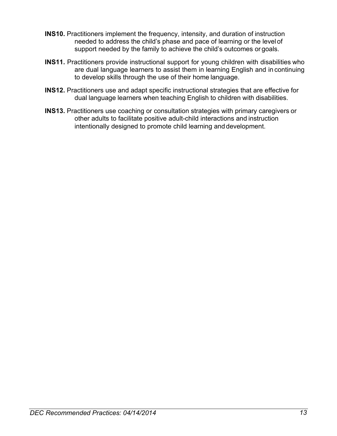- **INS10.** Practitioners implement the frequency, intensity, and duration of instruction needed to address the child's phase and pace of learning or the level of support needed by the family to achieve the child's outcomes or goals.
- **INS11.** Practitioners provide instructional support for young children with disabilities who are dual language learners to assist them in learning English and in continuing to develop skills through the use of their home language.
- **INS12.** Practitioners use and adapt specific instructional strategies that are effective for dual language learners when teaching English to children with disabilities.
- **INS13.** Practitioners use coaching or consultation strategies with primary caregivers or other adults to facilitate positive adult-child interactions and instruction intentionally designed to promote child learning and development.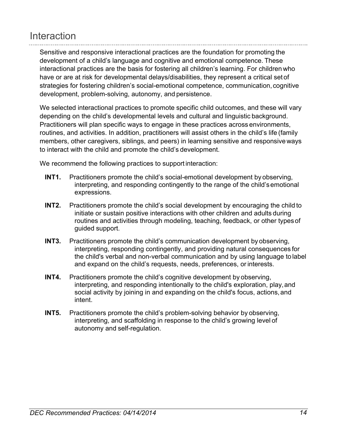# **Interaction**

Sensitive and responsive interactional practices are the foundation for promoting the development of a child's language and cognitive and emotional competence. These interactional practices are the basis for fostering all children's learning. For children who have or are at risk for developmental delays/disabilities, they represent a critical setof strategies for fostering children's social-emotional competence, communication, cognitive development, problem-solving, autonomy, and persistence.

We selected interactional practices to promote specific child outcomes, and these will vary depending on the child's developmental levels and cultural and linguistic background. Practitioners will plan specific ways to engage in these practices across environments, routines, and activities. In addition, practitioners will assist others in the child's life (family members, other caregivers, siblings, and peers) in learning sensitive and responsive ways to interact with the child and promote the child's development.

We recommend the following practices to support interaction:

- **INT1.** Practitioners promote the child's social-emotional development by observing, interpreting, and responding contingently to the range of the child'semotional expressions.
- **INT2.** Practitioners promote the child's social development by encouraging the child to initiate or sustain positive interactions with other children and adults during routines and activities through modeling, teaching, feedback, or other typesof guided support.
- **INT3.** Practitioners promote the child's communication development by observing, interpreting, responding contingently, and providing natural consequences for the child's verbal and non-verbal communication and by using language to label and expand on the child's requests, needs, preferences, or interests.
- **INT4.** Practitioners promote the child's cognitive development by observing, interpreting, and responding intentionally to the child's exploration, play,and social activity by joining in and expanding on the child's focus, actions, and intent.
- **INT5.** Practitioners promote the child's problem-solving behavior by observing, interpreting, and scaffolding in response to the child's growing level of autonomy and self-regulation.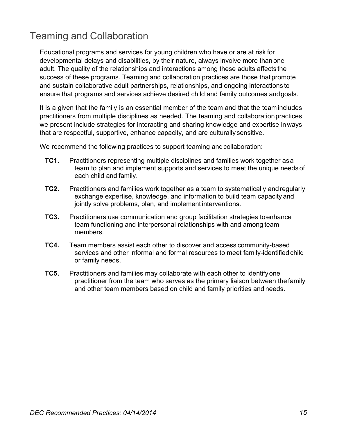# Teaming and Collaboration

Educational programs and services for young children who have or are at risk for developmental delays and disabilities, by their nature, always involve more than one adult. The quality of the relationships and interactions among these adults affects the success of these programs. Teaming and collaboration practices are those that promote and sustain collaborative adult partnerships, relationships, and ongoing interactions to ensure that programs and services achieve desired child and family outcomes andgoals.

It is a given that the family is an essential member of the team and that the team includes practitioners from multiple disciplines as needed. The teaming and collaborationpractices we present include strategies for interacting and sharing knowledge and expertise inways that are respectful, supportive, enhance capacity, and are culturally sensitive.

We recommend the following practices to support teaming and collaboration:

- **TC1.** Practitioners representing multiple disciplines and families work together as a team to plan and implement supports and services to meet the unique needs of each child and family.
- **TC2.** Practitioners and families work together as a team to systematically andregularly exchange expertise, knowledge, and information to build team capacity and jointly solve problems, plan, and implement interventions.
- **TC3.** Practitioners use communication and group facilitation strategies toenhance team functioning and interpersonal relationships with and among team members.
- **TC4.** Team members assist each other to discover and access community-based services and other informal and formal resources to meet family-identified child or family needs.
- **TC5.** Practitioners and families may collaborate with each other to identifyone practitioner from the team who serves as the primary liaison between the family and other team members based on child and family priorities and needs.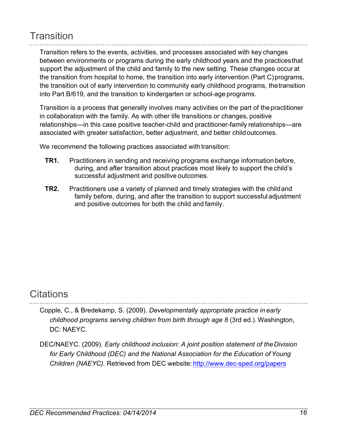# **Transition**

Transition refers to the events, activities, and processes associated with key changes between environments or programs during the early childhood years and the practicesthat support the adjustment of the child and family to the new setting. These changes occur at the transition from hospital to home, the transition into early intervention (Part C)programs, the transition out of early intervention to community early childhood programs, thetransition into Part B/619, and the transition to kindergarten or school-age programs.

Transition is a process that generally involves many activities on the part of thepractitioner in collaboration with the family. As with other life transitions or changes, positive relationships—in this case positive teacher-child and practitioner-family relationships—are associated with greater satisfaction, better adjustment, and better childoutcomes.

We recommend the following practices associated with transition:

- **TR1.** Practitioners in sending and receiving programs exchange information before, during, and after transition about practices most likely to support the child's successful adjustment and positive outcomes.
- **TR2.** Practitioners use a variety of planned and timely strategies with the childand family before, during, and after the transition to support successful adjustment and positive outcomes for both the child and family.

## **Citations**

- Copple, C., & Bredekamp, S. (2009). *Developmentally appropriate practice in early childhood programs serving children from birth through age 8* (3rd ed.). Washington, DC: NAEYC.
- DEC/NAEYC. (2009). *Early childhood inclusion: A joint position statement of theDivision*  for Early Childhood (DEC) and the National Association for the Education of Young *Children (NAEYC).* Retrieved from DEC website: http://www.dec-sped.org/papers